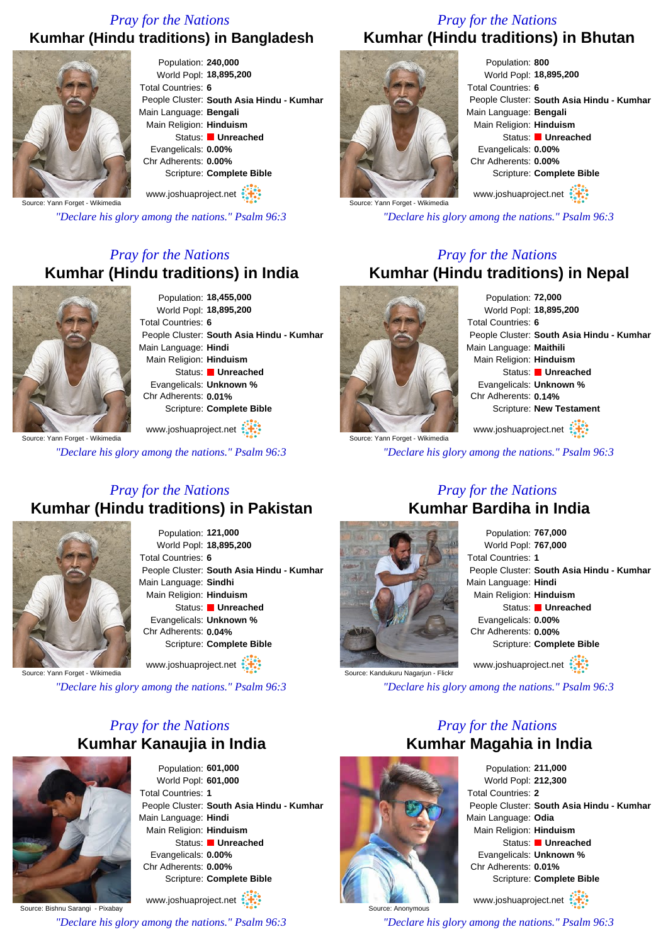#### *Pray for the Nations* **Kumhar (Hindu traditions) in Bangladesh**



Population: **240,000** World Popl: **18,895,200** Total Countries: **6** People Cluster: **South Asia Hindu - Kumhar** Main Language: **Bengali** Main Religion: **Hinduism** Status: **Unreached** Evangelicals: **0.00%** Chr Adherents: **0.00%** Scripture: **Complete Bible**

Source: Yann Forget - Wikimedia

*"Declare his glory among the nations." Psalm 96:3*

www.joshuaproject.net

#### *Pray for the Nations* **Kumhar (Hindu traditions) in India**



Population: **18,455,000** World Popl: **18,895,200** Total Countries: **6** People Cluster: **South Asia Hindu - Kumhar** Main Language: **Hindi** Main Religion: **Hinduism** Status: **Unreached** Evangelicals: **Unknown %** Chr Adherents: **0.01%** Scripture: **Complete Bible**

ource: Yann Forget - Wikimedia www.joshuaproject.net

*"Declare his glory among the nations." Psalm 96:3*

#### *Pray for the Nations* **Kumhar (Hindu traditions) in Pakistan**



Population: **121,000** World Popl: **18,895,200** Total Countries: **6** People Cluster: **South Asia Hindu - Kumhar** Main Language: **Sindhi** Main Religion: **Hinduism** Status: **Unreached** Evangelicals: **Unknown %** Chr Adherents: **0.04%** Scripture: **Complete Bible**

Source: Yann Forget - Wikimedia

*"Declare his glory among the nations." Psalm 96:3*

www.joshuaproject.net

# *Pray for the Nations* **Kumhar Kanaujia in India**



Population: **601,000** World Popl: **601,000** Total Countries: **1** People Cluster: **South Asia Hindu - Kumhar** Main Language: **Hindi** Main Religion: **Hinduism** Status: **Unreached** Evangelicals: **0.00%** Chr Adherents: **0.00%** Scripture: **Complete Bible**

Source: Bishnu Sarangi - Pixabay www.joshuaproject.net

*"Declare his glory among the nations." Psalm 96:3*

#### *Pray for the Nations* **Kumhar (Hindu traditions) in Bhutan**



Population: **800** World Popl: **18,895,200** Total Countries: **6** People Cluster: **South Asia Hindu - Kumhar** Main Language: **Bengali** Main Religion: **Hinduism** Status: **Unreached** Evangelicals: **0.00%** Chr Adherents: **0.00%** Scripture: **Complete Bible** www.joshuaproject.net

*"Declare his glory among the nations." Psalm 96:3*

#### *Pray for the Nations* **Kumhar (Hindu traditions) in Nepal**



Population: **72,000** World Popl: **18,895,200** Total Countries: **6** People Cluster: **South Asia Hindu - Kumhar** Main Language: **Maithili** Main Religion: **Hinduism** Status: **Unreached** Evangelicals: **Unknown %** Chr Adherents: **0.14%** Scripture: **New Testament**

Source: Yann Forget - Wikimedia www.joshuaproject.net

*"Declare his glory among the nations." Psalm 96:3*

*Pray for the Nations*

# **Kumhar Bardiha in India**

Source: Kandukuru Nagariun - Flickr

Population: **767,000** World Popl: **767,000** Total Countries: **1** People Cluster: **South Asia Hindu - Kumhar** Main Language: **Hindi** Main Religion: **Hinduism** Status: **Unreached** Evangelicals: **0.00%** Chr Adherents: **0.00%** Scripture: **Complete Bible** www.joshuaproject.net

*"Declare his glory among the nations." Psalm 96:3*

## *Pray for the Nations* **Kumhar Magahia in India**



Population: **211,000** World Popl: **212,300** Total Countries: **2** People Cluster: **South Asia Hindu - Kumhar** Main Language: **Odia** Main Religion: **Hinduism** Status: **Unreached** Evangelicals: **Unknown %** Chr Adherents: **0.01%** Scripture: **Complete Bible** www.joshuaproject.net

*"Declare his glory among the nations." Psalm 96:3*